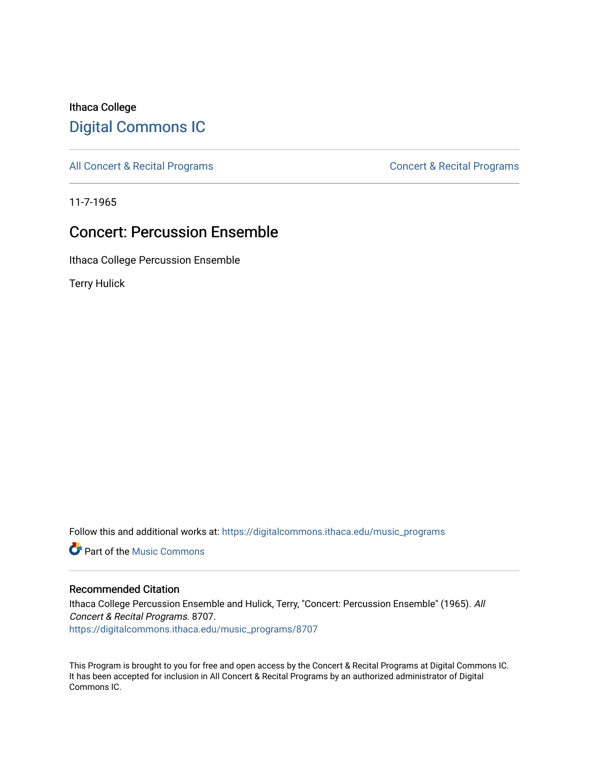## Ithaca College [Digital Commons IC](https://digitalcommons.ithaca.edu/)

[All Concert & Recital Programs](https://digitalcommons.ithaca.edu/music_programs) **Concert & Recital Programs** Concert & Recital Programs

11-7-1965

# Concert: Percussion Ensemble

Ithaca College Percussion Ensemble

Terry Hulick

Follow this and additional works at: [https://digitalcommons.ithaca.edu/music\\_programs](https://digitalcommons.ithaca.edu/music_programs?utm_source=digitalcommons.ithaca.edu%2Fmusic_programs%2F8707&utm_medium=PDF&utm_campaign=PDFCoverPages) 

**Part of the Music Commons** 

## Recommended Citation

Ithaca College Percussion Ensemble and Hulick, Terry, "Concert: Percussion Ensemble" (1965). All Concert & Recital Programs. 8707. [https://digitalcommons.ithaca.edu/music\\_programs/8707](https://digitalcommons.ithaca.edu/music_programs/8707?utm_source=digitalcommons.ithaca.edu%2Fmusic_programs%2F8707&utm_medium=PDF&utm_campaign=PDFCoverPages) 

This Program is brought to you for free and open access by the Concert & Recital Programs at Digital Commons IC. It has been accepted for inclusion in All Concert & Recital Programs by an authorized administrator of Digital Commons IC.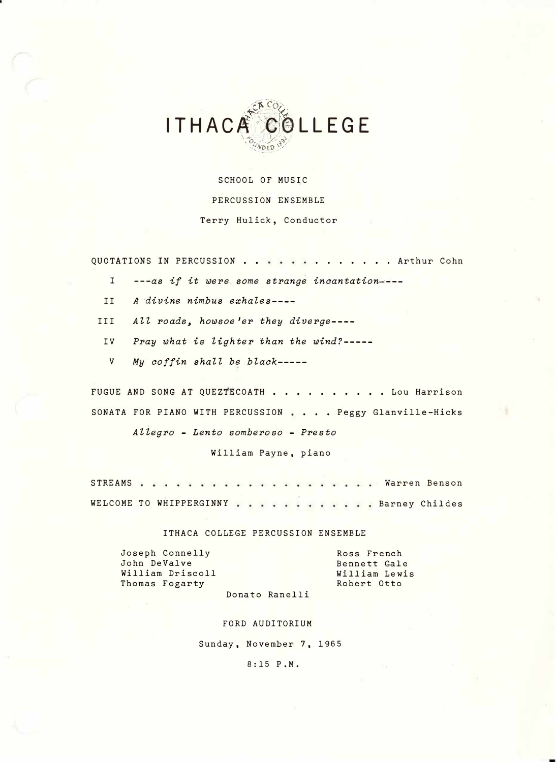

SCHOOL OF MUSIC PERCUSSION ENSEMBLE Terry Hulick, Conductor

QUOTATIONS IN PERCUSSION .. . . . . . .. Arthur Cohn

- I *---as if it were some strange inaantation---*
- II *A �ivine nimbus exhales----*
- III *All roads, howsoe'er they diverge----*
- IV *Pray what is lighter than the wind?----*
	- V *My coffin shall be black-----*

FUGUE AND SONG AT QUEZTECOATH . . . . . . . . . Lou Harrison SONATA FOR PIANO WITH PERCUSSION ... Peggy Glanville-Hicks

*Allegro* - *Lento somberoso* - *Presto* 

William Payne, piano

STREAMS **were a warren benson** WELCOME TO WHIPPERGINNY . . . . . . . . . . . Barney Childes

ITHACA COLLEGE PERCUSSION ENSEMBLE

Joseph Connelly John DeValve William Driscoll Thomas Fogarty

Ross French Bennett Gale William Lewis Robert Otto

Donato Ranelli

### FORD AUDITORIUM

Sunday, November 7, 1965

8:15 P.M,